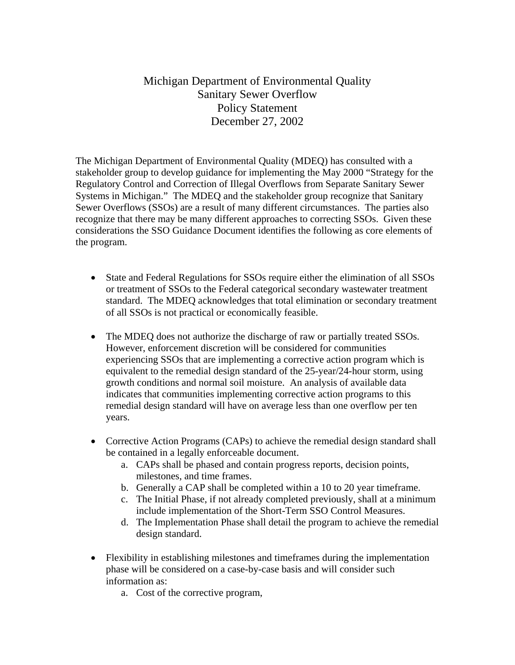Michigan Department of Environmental Quality Sanitary Sewer Overflow Policy Statement December 27, 2002

The Michigan Department of Environmental Quality (MDEQ) has consulted with a stakeholder group to develop guidance for implementing the May 2000 "Strategy for the Regulatory Control and Correction of Illegal Overflows from Separate Sanitary Sewer Systems in Michigan." The MDEQ and the stakeholder group recognize that Sanitary Sewer Overflows (SSOs) are a result of many different circumstances. The parties also recognize that there may be many different approaches to correcting SSOs. Given these considerations the SSO Guidance Document identifies the following as core elements of the program.

- State and Federal Regulations for SSOs require either the elimination of all SSOs or treatment of SSOs to the Federal categorical secondary wastewater treatment standard. The MDEQ acknowledges that total elimination or secondary treatment of all SSOs is not practical or economically feasible.
- The MDEQ does not authorize the discharge of raw or partially treated SSOs. However, enforcement discretion will be considered for communities experiencing SSOs that are implementing a corrective action program which is equivalent to the remedial design standard of the 25-year/24-hour storm, using growth conditions and normal soil moisture. An analysis of available data indicates that communities implementing corrective action programs to this remedial design standard will have on average less than one overflow per ten years.
- Corrective Action Programs (CAPs) to achieve the remedial design standard shall be contained in a legally enforceable document.
	- a. CAPs shall be phased and contain progress reports, decision points, milestones, and time frames.
	- b. Generally a CAP shall be completed within a 10 to 20 year timeframe.
	- c. The Initial Phase, if not already completed previously, shall at a minimum include implementation of the Short-Term SSO Control Measures.
	- d. The Implementation Phase shall detail the program to achieve the remedial design standard.
- Flexibility in establishing milestones and timeframes during the implementation phase will be considered on a case-by-case basis and will consider such information as:
	- a. Cost of the corrective program,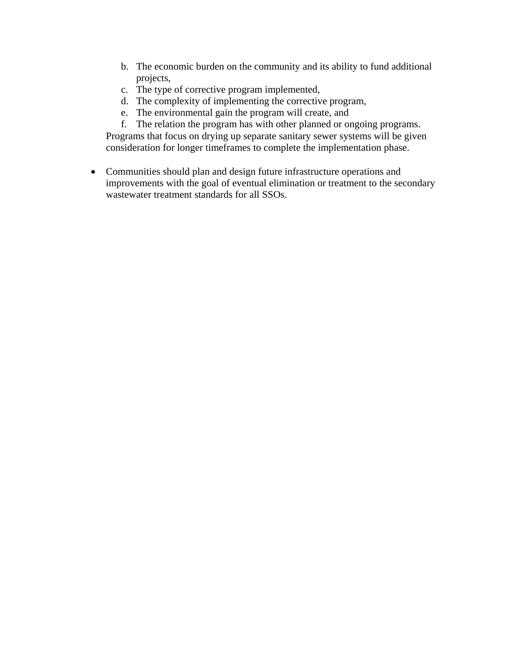- b. The economic burden on the community and its ability to fund additional projects,
- c. The type of corrective program implemented,
- d. The complexity of implementing the corrective program,
- e. The environmental gain the program will create, and

f. The relation the program has with other planned or ongoing programs. Programs that focus on drying up separate sanitary sewer systems will be given consideration for longer timeframes to complete the implementation phase.

• Communities should plan and design future infrastructure operations and improvements with the goal of eventual elimination or treatment to the secondary wastewater treatment standards for all SSOs.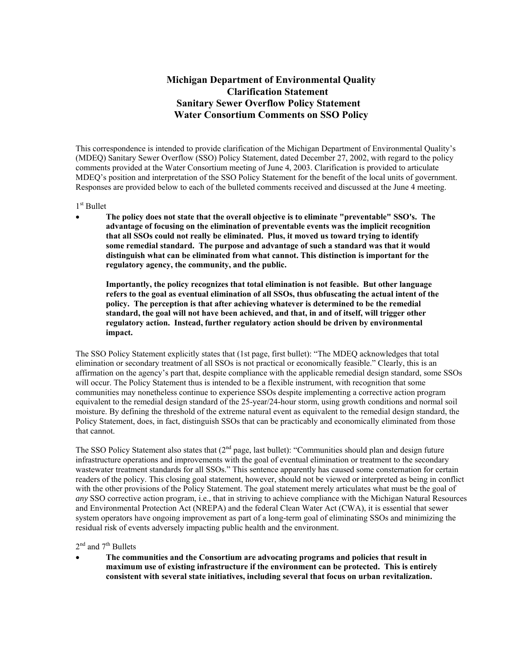# **Michigan Department of Environmental Quality Clarification Statement Sanitary Sewer Overflow Policy Statement Water Consortium Comments on SSO Policy**

This correspondence is intended to provide clarification of the Michigan Department of Environmental Quality's (MDEQ) Sanitary Sewer Overflow (SSO) Policy Statement, dated December 27, 2002, with regard to the policy comments provided at the Water Consortium meeting of June 4, 2003. Clarification is provided to articulate MDEQ's position and interpretation of the SSO Policy Statement for the benefit of the local units of government. Responses are provided below to each of the bulleted comments received and discussed at the June 4 meeting.

#### 1<sup>st</sup> Bullet

• **The policy does not state that the overall objective is to eliminate "preventable" SSO's. The advantage of focusing on the elimination of preventable events was the implicit recognition that all SSOs could not really be eliminated. Plus, it moved us toward trying to identify some remedial standard. The purpose and advantage of such a standard was that it would distinguish what can be eliminated from what cannot. This distinction is important for the regulatory agency, the community, and the public.** 

**Importantly, the policy recognizes that total elimination is not feasible. But other language refers to the goal as eventual elimination of all SSOs, thus obfuscating the actual intent of the policy. The perception is that after achieving whatever is determined to be the remedial standard, the goal will not have been achieved, and that, in and of itself, will trigger other regulatory action. Instead, further regulatory action should be driven by environmental impact.**

The SSO Policy Statement explicitly states that (1st page, first bullet): "The MDEQ acknowledges that total elimination or secondary treatment of all SSOs is not practical or economically feasible." Clearly, this is an affirmation on the agency's part that, despite compliance with the applicable remedial design standard, some SSOs will occur. The Policy Statement thus is intended to be a flexible instrument, with recognition that some communities may nonetheless continue to experience SSOs despite implementing a corrective action program equivalent to the remedial design standard of the 25-year/24-hour storm, using growth conditions and normal soil moisture. By defining the threshold of the extreme natural event as equivalent to the remedial design standard, the Policy Statement, does, in fact, distinguish SSOs that can be practicably and economically eliminated from those that cannot.

The SSO Policy Statement also states that (2<sup>nd</sup> page, last bullet): "Communities should plan and design future infrastructure operations and improvements with the goal of eventual elimination or treatment to the secondary wastewater treatment standards for all SSOs." This sentence apparently has caused some consternation for certain readers of the policy. This closing goal statement, however, should not be viewed or interpreted as being in conflict with the other provisions of the Policy Statement. The goal statement merely articulates what must be the goal of *any* SSO corrective action program, i.e., that in striving to achieve compliance with the Michigan Natural Resources and Environmental Protection Act (NREPA) and the federal Clean Water Act (CWA), it is essential that sewer system operators have ongoing improvement as part of a long-term goal of eliminating SSOs and minimizing the residual risk of events adversely impacting public health and the environment.

#### $2<sup>nd</sup>$  and  $7<sup>th</sup>$  Bullets

• **The communities and the Consortium are advocating programs and policies that result in maximum use of existing infrastructure if the environment can be protected. This is entirely consistent with several state initiatives, including several that focus on urban revitalization.**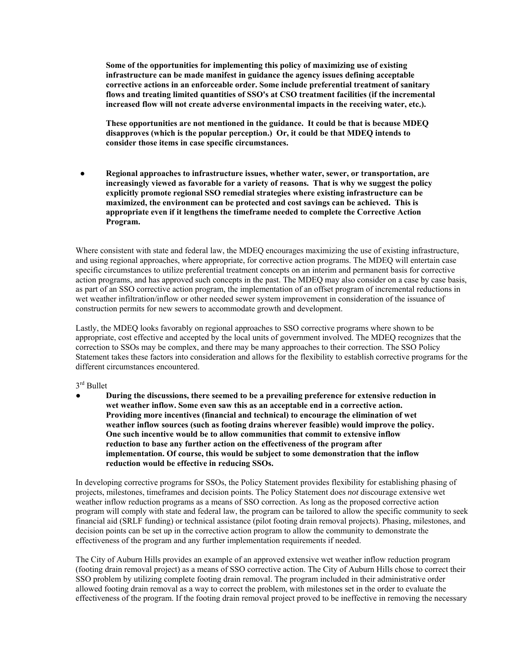**Some of the opportunities for implementing this policy of maximizing use of existing infrastructure can be made manifest in guidance the agency issues defining acceptable corrective actions in an enforceable order. Some include preferential treatment of sanitary flows and treating limited quantities of SSO's at CSO treatment facilities (if the incremental increased flow will not create adverse environmental impacts in the receiving water, etc.).** 

**These opportunities are not mentioned in the guidance. It could be that is because MDEQ disapproves (which is the popular perception.) Or, it could be that MDEQ intends to consider those items in case specific circumstances.**

 **● Regional approaches to infrastructure issues, whether water, sewer, or transportation, are increasingly viewed as favorable for a variety of reasons. That is why we suggest the policy explicitly promote regional SSO remedial strategies where existing infrastructure can be maximized, the environment can be protected and cost savings can be achieved. This is appropriate even if it lengthens the timeframe needed to complete the Corrective Action Program.** 

Where consistent with state and federal law, the MDEQ encourages maximizing the use of existing infrastructure, and using regional approaches, where appropriate, for corrective action programs. The MDEQ will entertain case specific circumstances to utilize preferential treatment concepts on an interim and permanent basis for corrective action programs, and has approved such concepts in the past. The MDEQ may also consider on a case by case basis, as part of an SSO corrective action program, the implementation of an offset program of incremental reductions in wet weather infiltration/inflow or other needed sewer system improvement in consideration of the issuance of construction permits for new sewers to accommodate growth and development.

Lastly, the MDEQ looks favorably on regional approaches to SSO corrective programs where shown to be appropriate, cost effective and accepted by the local units of government involved. The MDEQ recognizes that the correction to SSOs may be complex, and there may be many approaches to their correction. The SSO Policy Statement takes these factors into consideration and allows for the flexibility to establish corrective programs for the different circumstances encountered.

#### 3<sup>rd</sup> Bullet

● **During the discussions, there seemed to be a prevailing preference for extensive reduction in wet weather inflow. Some even saw this as an acceptable end in a corrective action. Providing more incentives (financial and technical) to encourage the elimination of wet weather inflow sources (such as footing drains wherever feasible) would improve the policy. One such incentive would be to allow communities that commit to extensive inflow reduction to base any further action on the effectiveness of the program after implementation. Of course, this would be subject to some demonstration that the inflow reduction would be effective in reducing SSOs.** 

In developing corrective programs for SSOs, the Policy Statement provides flexibility for establishing phasing of projects, milestones, timeframes and decision points. The Policy Statement does *not* discourage extensive wet weather inflow reduction programs as a means of SSO correction. As long as the proposed corrective action program will comply with state and federal law, the program can be tailored to allow the specific community to seek financial aid (SRLF funding) or technical assistance (pilot footing drain removal projects). Phasing, milestones, and decision points can be set up in the corrective action program to allow the community to demonstrate the effectiveness of the program and any further implementation requirements if needed.

The City of Auburn Hills provides an example of an approved extensive wet weather inflow reduction program (footing drain removal project) as a means of SSO corrective action. The City of Auburn Hills chose to correct their SSO problem by utilizing complete footing drain removal. The program included in their administrative order allowed footing drain removal as a way to correct the problem, with milestones set in the order to evaluate the effectiveness of the program. If the footing drain removal project proved to be ineffective in removing the necessary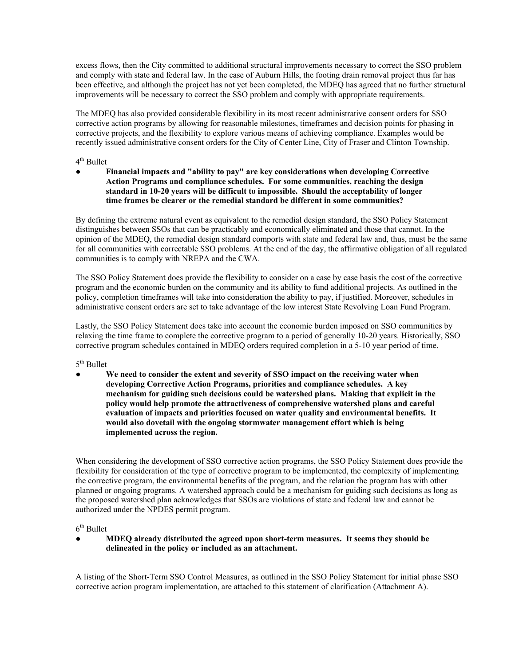excess flows, then the City committed to additional structural improvements necessary to correct the SSO problem and comply with state and federal law. In the case of Auburn Hills, the footing drain removal project thus far has been effective, and although the project has not yet been completed, the MDEQ has agreed that no further structural improvements will be necessary to correct the SSO problem and comply with appropriate requirements.

The MDEQ has also provided considerable flexibility in its most recent administrative consent orders for SSO corrective action programs by allowing for reasonable milestones, timeframes and decision points for phasing in corrective projects, and the flexibility to explore various means of achieving compliance. Examples would be recently issued administrative consent orders for the City of Center Line, City of Fraser and Clinton Township.

### 4<sup>th</sup> Bullet

**● Financial impacts and "ability to pay" are key considerations when developing Corrective Action Programs and compliance schedules. For some communities, reaching the design standard in 10-20 years will be difficult to impossible. Should the acceptability of longer time frames be clearer or the remedial standard be different in some communities?** 

By defining the extreme natural event as equivalent to the remedial design standard, the SSO Policy Statement distinguishes between SSOs that can be practicably and economically eliminated and those that cannot. In the opinion of the MDEQ, the remedial design standard comports with state and federal law and, thus, must be the same for all communities with correctable SSO problems. At the end of the day, the affirmative obligation of all regulated communities is to comply with NREPA and the CWA.

The SSO Policy Statement does provide the flexibility to consider on a case by case basis the cost of the corrective program and the economic burden on the community and its ability to fund additional projects. As outlined in the policy, completion timeframes will take into consideration the ability to pay, if justified. Moreover, schedules in administrative consent orders are set to take advantage of the low interest State Revolving Loan Fund Program.

Lastly, the SSO Policy Statement does take into account the economic burden imposed on SSO communities by relaxing the time frame to complete the corrective program to a period of generally 10-20 years. Historically, SSO corrective program schedules contained in MDEQ orders required completion in a 5-10 year period of time.

 $5<sup>th</sup>$  Bullet

We need to consider the extent and severity of SSO impact on the receiving water when  **developing Corrective Action Programs, priorities and compliance schedules. A key mechanism for guiding such decisions could be watershed plans. Making that explicit in the policy would help promote the attractiveness of comprehensive watershed plans and careful evaluation of impacts and priorities focused on water quality and environmental benefits. It would also dovetail with the ongoing stormwater management effort which is being implemented across the region.** 

When considering the development of SSO corrective action programs, the SSO Policy Statement does provide the flexibility for consideration of the type of corrective program to be implemented, the complexity of implementing the corrective program, the environmental benefits of the program, and the relation the program has with other planned or ongoing programs. A watershed approach could be a mechanism for guiding such decisions as long as the proposed watershed plan acknowledges that SSOs are violations of state and federal law and cannot be authorized under the NPDES permit program.

 $6<sup>th</sup>$  Bullet

**● MDEQ already distributed the agreed upon short-term measures. It seems they should be delineated in the policy or included as an attachment.** 

A listing of the Short-Term SSO Control Measures, as outlined in the SSO Policy Statement for initial phase SSO corrective action program implementation, are attached to this statement of clarification (Attachment A).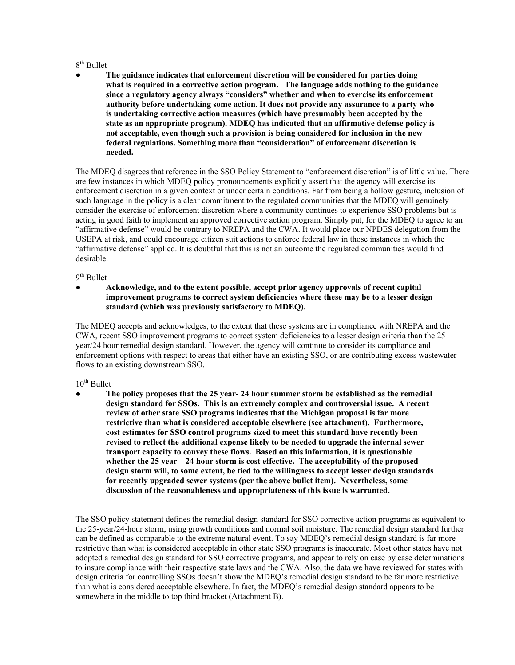### $8<sup>th</sup>$  Bullet

**● The guidance indicates that enforcement discretion will be considered for parties doing what is required in a corrective action program. The language adds nothing to the guidance since a regulatory agency always "considers" whether and when to exercise its enforcement authority before undertaking some action. It does not provide any assurance to a party who is undertaking corrective action measures (which have presumably been accepted by the state as an appropriate program). MDEQ has indicated that an affirmative defense policy is not acceptable, even though such a provision is being considered for inclusion in the new federal regulations. Something more than "consideration" of enforcement discretion is needed.** 

The MDEQ disagrees that reference in the SSO Policy Statement to "enforcement discretion" is of little value. There are few instances in which MDEQ policy pronouncements explicitly assert that the agency will exercise its enforcement discretion in a given context or under certain conditions. Far from being a hollow gesture, inclusion of such language in the policy is a clear commitment to the regulated communities that the MDEQ will genuinely consider the exercise of enforcement discretion where a community continues to experience SSO problems but is acting in good faith to implement an approved corrective action program. Simply put, for the MDEQ to agree to an "affirmative defense" would be contrary to NREPA and the CWA. It would place our NPDES delegation from the USEPA at risk, and could encourage citizen suit actions to enforce federal law in those instances in which the "affirmative defense" applied. It is doubtful that this is not an outcome the regulated communities would find desirable.

9<sup>th</sup> Bullet

**● Acknowledge, and to the extent possible, accept prior agency approvals of recent capital improvement programs to correct system deficiencies where these may be to a lesser design standard (which was previously satisfactory to MDEQ).** 

The MDEQ accepts and acknowledges, to the extent that these systems are in compliance with NREPA and the CWA, recent SSO improvement programs to correct system deficiencies to a lesser design criteria than the 25 year/24 hour remedial design standard. However, the agency will continue to consider its compliance and enforcement options with respect to areas that either have an existing SSO, or are contributing excess wastewater flows to an existing downstream SSO.

## $10^{th}$  Bullet

**● The policy proposes that the 25 year- 24 hour summer storm be established as the remedial design standard for SSOs. This is an extremely complex and controversial issue. A recent review of other state SSO programs indicates that the Michigan proposal is far more restrictive than what is considered acceptable elsewhere (see attachment). Furthermore, cost estimates for SSO control programs sized to meet this standard have recently been revised to reflect the additional expense likely to be needed to upgrade the internal sewer transport capacity to convey these flows. Based on this information, it is questionable whether the 25 year – 24 hour storm is cost effective. The acceptability of the proposed design storm will, to some extent, be tied to the willingness to accept lesser design standards for recently upgraded sewer systems (per the above bullet item). Nevertheless, some discussion of the reasonableness and appropriateness of this issue is warranted.** 

The SSO policy statement defines the remedial design standard for SSO corrective action programs as equivalent to the 25-year/24-hour storm, using growth conditions and normal soil moisture. The remedial design standard further can be defined as comparable to the extreme natural event. To say MDEQ's remedial design standard is far more restrictive than what is considered acceptable in other state SSO programs is inaccurate. Most other states have not adopted a remedial design standard for SSO corrective programs, and appear to rely on case by case determinations to insure compliance with their respective state laws and the CWA. Also, the data we have reviewed for states with design criteria for controlling SSOs doesn't show the MDEQ's remedial design standard to be far more restrictive than what is considered acceptable elsewhere. In fact, the MDEQ's remedial design standard appears to be somewhere in the middle to top third bracket (Attachment B).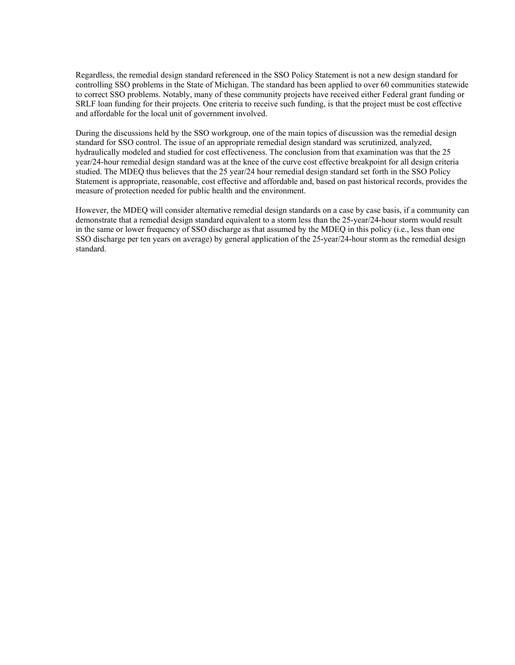Regardless, the remedial design standard referenced in the SSO Policy Statement is not a new design standard for controlling SSO problems in the State of Michigan. The standard has been applied to over 60 communities statewide to correct SSO problems. Notably, many of these community projects have received either Federal grant funding or SRLF loan funding for their projects. One criteria to receive such funding, is that the project must be cost effective and affordable for the local unit of government involved.

During the discussions held by the SSO workgroup, one of the main topics of discussion was the remedial design standard for SSO control. The issue of an appropriate remedial design standard was scrutinized, analyzed, hydraulically modeled and studied for cost effectiveness. The conclusion from that examination was that the 25 year/24-hour remedial design standard was at the knee of the curve cost effective breakpoint for all design criteria studied. The MDEQ thus believes that the 25 year/24 hour remedial design standard set forth in the SSO Policy Statement is appropriate, reasonable, cost effective and affordable and, based on past historical records, provides the measure of protection needed for public health and the environment.

However, the MDEQ will consider alternative remedial design standards on a case by case basis, if a community can demonstrate that a remedial design standard equivalent to a storm less than the 25-year/24-hour storm would result in the same or lower frequency of SSO discharge as that assumed by the MDEQ in this policy (i.e., less than one SSO discharge per ten years on average) by general application of the 25-year/24-hour storm as the remedial design standard.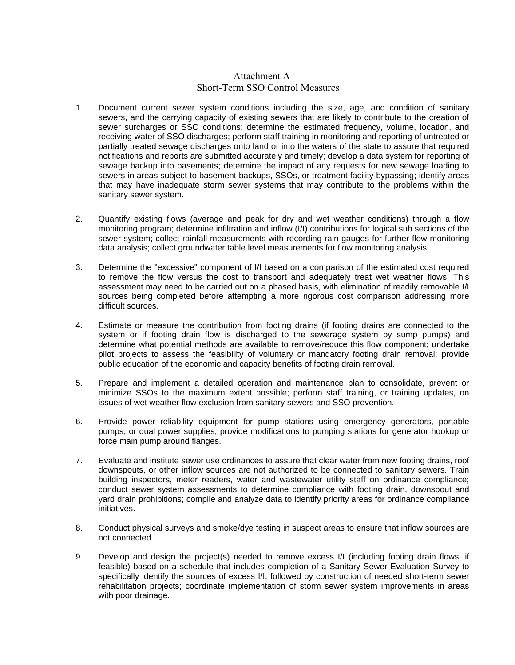## Attachment A Short-Term SSO Control Measures

- 1. Document current sewer system conditions including the size, age, and condition of sanitary sewers, and the carrying capacity of existing sewers that are likely to contribute to the creation of sewer surcharges or SSO conditions; determine the estimated frequency, volume, location, and receiving water of SSO discharges; perform staff training in monitoring and reporting of untreated or partially treated sewage discharges onto land or into the waters of the state to assure that required notifications and reports are submitted accurately and timely; develop a data system for reporting of sewage backup into basements; determine the impact of any requests for new sewage loading to sewers in areas subject to basement backups, SSOs, or treatment facility bypassing; identify areas that may have inadequate storm sewer systems that may contribute to the problems within the sanitary sewer system.
- 2. Quantify existing flows (average and peak for dry and wet weather conditions) through a flow monitoring program; determine infiltration and inflow (I/I) contributions for logical sub sections of the sewer system; collect rainfall measurements with recording rain gauges for further flow monitoring data analysis; collect groundwater table level measurements for flow monitoring analysis.
- 3. Determine the "excessive" component of I/I based on a comparison of the estimated cost required to remove the flow versus the cost to transport and adequately treat wet weather flows. This assessment may need to be carried out on a phased basis, with elimination of readily removable I/I sources being completed before attempting a more rigorous cost comparison addressing more difficult sources.
- 4. Estimate or measure the contribution from footing drains (if footing drains are connected to the system or if footing drain flow is discharged to the sewerage system by sump pumps) and determine what potential methods are available to remove/reduce this flow component; undertake pilot projects to assess the feasibility of voluntary or mandatory footing drain removal; provide public education of the economic and capacity benefits of footing drain removal.
- 5. Prepare and implement a detailed operation and maintenance plan to consolidate, prevent or minimize SSOs to the maximum extent possible; perform staff training, or training updates, on issues of wet weather flow exclusion from sanitary sewers and SSO prevention.
- 6. Provide power reliability equipment for pump stations using emergency generators, portable pumps, or dual power supplies; provide modifications to pumping stations for generator hookup or force main pump around flanges.
- 7. Evaluate and institute sewer use ordinances to assure that clear water from new footing drains, roof downspouts, or other inflow sources are not authorized to be connected to sanitary sewers. Train building inspectors, meter readers, water and wastewater utility staff on ordinance compliance; conduct sewer system assessments to determine compliance with footing drain, downspout and yard drain prohibitions; compile and analyze data to identify priority areas for ordinance compliance initiatives.
- 8. Conduct physical surveys and smoke/dye testing in suspect areas to ensure that inflow sources are not connected.
- 9. Develop and design the project(s) needed to remove excess I/I (including footing drain flows, if feasible) based on a schedule that includes completion of a Sanitary Sewer Evaluation Survey to specifically identify the sources of excess I/I, followed by construction of needed short-term sewer rehabilitation projects; coordinate implementation of storm sewer system improvements in areas with poor drainage.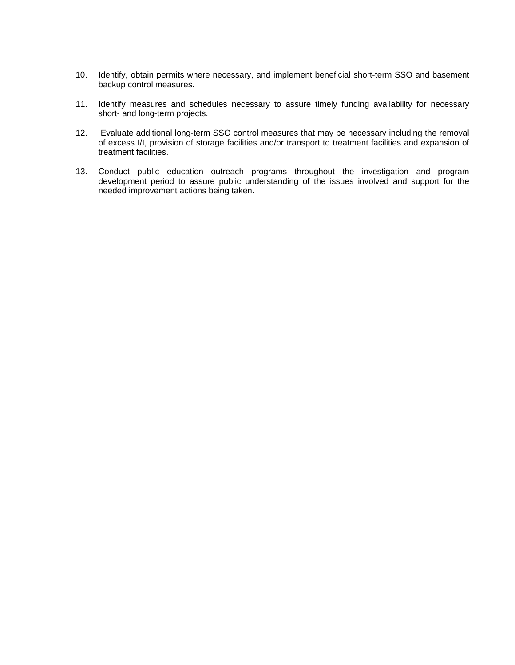- 10. Identify, obtain permits where necessary, and implement beneficial short-term SSO and basement backup control measures.
- 11. Identify measures and schedules necessary to assure timely funding availability for necessary short- and long-term projects.
- 12. Evaluate additional long-term SSO control measures that may be necessary including the removal of excess I/I, provision of storage facilities and/or transport to treatment facilities and expansion of treatment facilities.
- 13. Conduct public education outreach programs throughout the investigation and program development period to assure public understanding of the issues involved and support for the needed improvement actions being taken.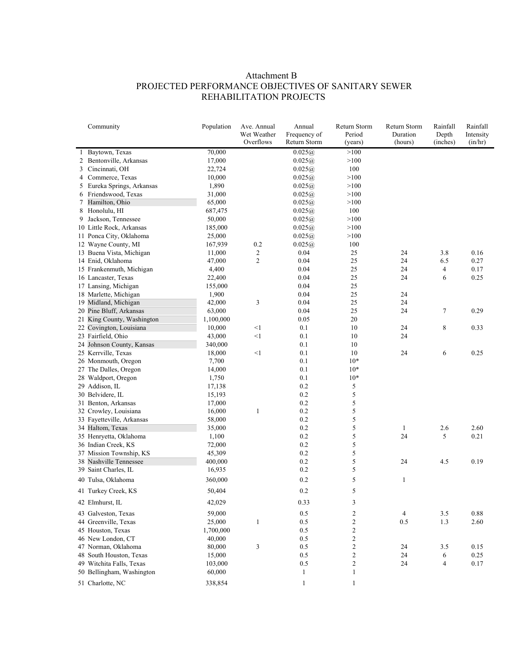# Attachment B PROJECTED PERFORMANCE OBJECTIVES OF SANITARY SEWER REHABILITATION PROJECTS

|   | Community                  | Population | Ave. Annual<br>Wet Weather<br>Overflows | Annual<br>Frequency of<br>Return Storm | Return Storm<br>Period<br>(years) | Return Storm<br>Duration<br>(hours) | Rainfall<br>Depth<br>(inches) | Rainfall<br>Intensity<br>(in/hr) |
|---|----------------------------|------------|-----------------------------------------|----------------------------------------|-----------------------------------|-------------------------------------|-------------------------------|----------------------------------|
|   | 1 Baytown, Texas           | 70,000     |                                         | 0.025(a)                               | >100                              |                                     |                               |                                  |
| 2 | Bentonville, Arkansas      | 17,000     |                                         | 0.025(a)                               | >100                              |                                     |                               |                                  |
|   | 3 Cincinnati, OH           | 22,724     |                                         | 0.025@                                 | 100                               |                                     |                               |                                  |
|   | 4 Commerce, Texas          | 10,000     |                                         | 0.025(a)                               | >100                              |                                     |                               |                                  |
|   | 5 Eureka Springs, Arkansas | 1,890      |                                         | 0.025(a)                               | >100                              |                                     |                               |                                  |
| 6 | Friendswood, Texas         | 31,000     |                                         | 0.025@                                 | >100                              |                                     |                               |                                  |
| 7 | Hamilton, Ohio             | 65,000     |                                         | 0.025(a)                               | >100                              |                                     |                               |                                  |
| 8 | Honolulu, HI               | 687,475    |                                         | 0.025@                                 | 100                               |                                     |                               |                                  |
| 9 | Jackson, Tennessee         | 50,000     |                                         | 0.025@                                 | >100                              |                                     |                               |                                  |
|   | 10 Little Rock, Arkansas   | 185,000    |                                         | 0.025(a)                               | >100                              |                                     |                               |                                  |
|   | 11 Ponca City, Oklahoma    | 25,000     |                                         | 0.025@                                 | >100                              |                                     |                               |                                  |
|   | 12 Wayne County, MI        | 167,939    | 0.2                                     | 0.025@                                 | 100                               |                                     |                               |                                  |
|   | 13 Buena Vista, Michigan   | 11,000     | 2                                       | 0.04                                   | 25                                | 24                                  | 3.8                           | 0.16                             |
|   | 14 Enid, Oklahoma          | 47,000     | $\mathfrak{2}$                          | 0.04                                   | 25                                | 24                                  | 6.5                           | 0.27                             |
|   | 15 Frankenmuth, Michigan   | 4,400      |                                         | 0.04                                   | 25                                | 24                                  | $\overline{4}$                | 0.17                             |
|   | 16 Lancaster, Texas        | 22,400     |                                         | 0.04                                   | 25                                | 24                                  | 6                             | 0.25                             |
|   | 17 Lansing, Michigan       | 155,000    |                                         | 0.04                                   | 25                                |                                     |                               |                                  |
|   | 18 Marlette, Michigan      | 1,900      |                                         | 0.04                                   | 25                                | 24                                  |                               |                                  |
|   | 19 Midland, Michigan       | 42,000     | 3                                       | 0.04                                   | 25                                | 24                                  |                               |                                  |
|   | 20 Pine Bluff, Arkansas    | 63,000     |                                         | 0.04                                   | 25                                | 24                                  | $\boldsymbol{7}$              | 0.29                             |
|   | 21 King County, Washington | 1,100,000  |                                         | 0.05                                   | 20                                |                                     |                               |                                  |
|   | 22 Covington, Louisiana    | 10,000     | $<$ 1                                   | 0.1                                    | 10                                | 24                                  | $\,$ 8 $\,$                   | 0.33                             |
|   | 23 Fairfield, Ohio         | 43,000     | $<$ 1                                   | 0.1                                    | 10                                | 24                                  |                               |                                  |
|   | 24 Johnson County, Kansas  | 340,000    |                                         | 0.1                                    | 10                                |                                     |                               |                                  |
|   | 25 Kerrville, Texas        | 18,000     | $<$ l                                   | 0.1                                    | 10                                | 24                                  | 6                             | 0.25                             |
|   | 26 Monmouth, Oregon        | 7,700      |                                         | 0.1                                    | $10*$                             |                                     |                               |                                  |
|   | 27 The Dalles, Oregon      | 14,000     |                                         | 0.1                                    | $10*$                             |                                     |                               |                                  |
|   | 28 Waldport, Oregon        | 1,750      |                                         | 0.1                                    | $10*$                             |                                     |                               |                                  |
|   | 29 Addison, IL             | 17,138     |                                         | 0.2                                    | 5                                 |                                     |                               |                                  |
|   | 30 Belvidere, IL           | 15,193     |                                         | 0.2                                    | 5                                 |                                     |                               |                                  |
|   | 31 Benton, Arkansas        | 17,000     |                                         | 0.2                                    | 5                                 |                                     |                               |                                  |
|   | 32 Crowley, Louisiana      | 16,000     | $\mathbf{1}$                            | 0.2                                    | 5                                 |                                     |                               |                                  |
|   | 33 Fayetteville, Arkansas  | 58,000     |                                         | 0.2                                    | 5                                 |                                     |                               |                                  |
|   | 34 Haltom, Texas           | 35,000     |                                         | 0.2                                    | 5                                 | 1                                   | 2.6                           | 2.60                             |
|   | 35 Henryetta, Oklahoma     | 1,100      |                                         | 0.2                                    | 5                                 | 24                                  | 5                             | 0.21                             |
|   | 36 Indian Creek, KS        | 72,000     |                                         | 0.2                                    | 5                                 |                                     |                               |                                  |
|   | 37 Mission Township, KS    | 45,309     |                                         | 0.2                                    | 5                                 |                                     |                               |                                  |
|   | 38 Nashville Tennessee     | 400,000    |                                         | $0.2\,$                                | 5                                 | 24                                  | 4.5                           | 0.19                             |
|   | 39 Saint Charles, IL       | 16,935     |                                         | 0.2                                    | 5                                 |                                     |                               |                                  |
|   | 40 Tulsa, Oklahoma         | 360,000    |                                         | 0.2                                    | 5                                 | $\mathbf{1}$                        |                               |                                  |
|   | 41 Turkey Creek, KS        | 50,404     |                                         | 0.2                                    | 5                                 |                                     |                               |                                  |
|   | 42 Elmhurst, IL            | 42,029     |                                         | 0.33                                   | 3                                 |                                     |                               |                                  |
|   | 43 Galveston, Texas        | 59,000     |                                         | $0.5\,$                                | $\overline{\mathbf{c}}$           | 4                                   | 3.5                           | 0.88                             |
|   | 44 Greenville, Texas       | 25,000     | 1                                       | 0.5                                    | $\overline{\mathbf{c}}$           | $0.5\,$                             | 1.3                           | 2.60                             |
|   | 45 Houston, Texas          | 1,700,000  |                                         | 0.5                                    | $\boldsymbol{2}$                  |                                     |                               |                                  |
|   | 46 New London, CT          | 40,000     |                                         | 0.5                                    | $\overline{\mathbf{c}}$           |                                     |                               |                                  |
|   | 47 Norman, Oklahoma        | 80,000     | $\sqrt{3}$                              | 0.5                                    | $\sqrt{2}$                        | 24                                  | 3.5                           | 0.15                             |
|   | 48 South Houston, Texas    | 15,000     |                                         | 0.5                                    | $\boldsymbol{2}$                  | 24                                  | 6                             | 0.25                             |
|   | 49 Witchita Falls, Texas   | 103,000    |                                         | 0.5                                    | $\boldsymbol{2}$                  | 24                                  | $\overline{4}$                | 0.17                             |
|   | 50 Bellingham, Washington  | 60,000     |                                         | $\mathbf{1}$                           | $\mathbf{1}$                      |                                     |                               |                                  |
|   | 51 Charlotte, NC           | 338,854    |                                         | $\mathbf{1}$                           | $\mathbf{1}$                      |                                     |                               |                                  |